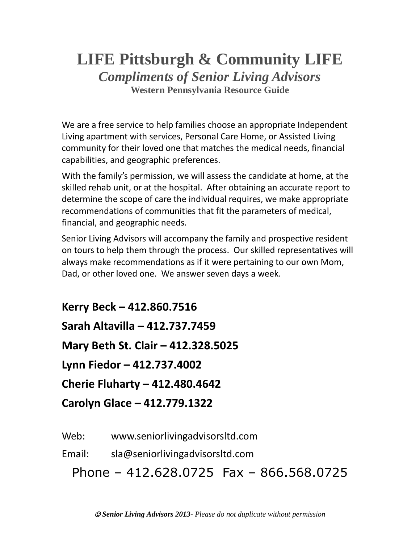## **LIFE Pittsburgh & Community LIFE** *Compliments of Senior Living Advisors* **Western Pennsylvania Resource Guide**

We are a free service to help families choose an appropriate Independent Living apartment with services, Personal Care Home, or Assisted Living community for their loved one that matches the medical needs, financial capabilities, and geographic preferences.

With the family's permission, we will assess the candidate at home, at the skilled rehab unit, or at the hospital. After obtaining an accurate report to determine the scope of care the individual requires, we make appropriate recommendations of communities that fit the parameters of medical, financial, and geographic needs.

Senior Living Advisors will accompany the family and prospective resident on tours to help them through the process. Our skilled representatives will always make recommendations as if it were pertaining to our own Mom, Dad, or other loved one. We answer seven days a week.

**Kerry Beck – 412.860.7516 Sarah Altavilla – 412.737.7459 Mary Beth St. Clair – 412.328.5025 Lynn Fiedor – 412.737.4002 Cherie Fluharty – 412.480.4642 Carolyn Glace – 412.779.1322**

Web: www.seniorlivingadvisorsltd.com

Email: sla@seniorlivingadvisorsltd.com

Phone – 412.628.0725 Fax – 866.568.0725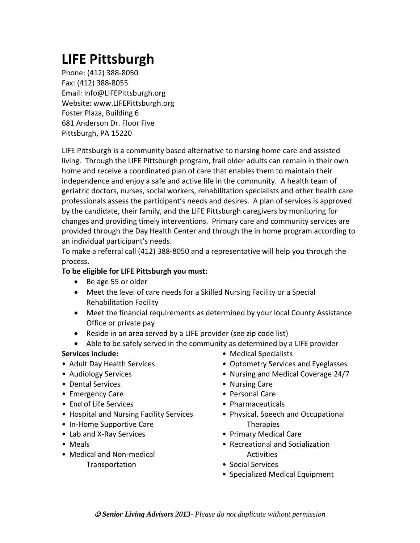# **LIFE Pittsburgh**

Phone: (412) 388-8050 Fax: (412) 388-8055 Email: info@LIFEPittsburgh.org Website: www.LIFEPittsburgh.org Foster Plaza, Building 6 681 Anderson Dr. Floor Five Pittsburgh, PA 15220

LIFE Pittsburgh is a community based alternative to nursing home care and assisted living. Through the LIFE Pittsburgh program, frail older adults can remain in their own home and receive a coordinated plan of care that enables them to maintain their independence and enjoy a safe and active life in the community. A health team of geriatric doctors, nurses, social workers, rehabilitation specialists and other health care professionals assess the participant's needs and desires. A plan of services is approved by the candidate, their family, and the LIFE Pittsburgh caregivers by monitoring for changes and providing timely interventions. Primary care and community services are provided through the Day Health Center and through the in home program according to an individual participant's needs.

To make a referral call (412) 388-8050 and a representative will help you through the process.

## **To be eligible for LIFE Pittsburgh you must:**

- Be age 55 or older
- Meet the level of care needs for a Skilled Nursing Facility or a Special Rehabilitation Facility
- Meet the financial requirements as determined by your local County Assistance Office or private pay
- Reside in an area served by a LIFE provider (see zip code list)
- Able to be safely served in the community as determined by a LIFE provider

### **Services include:**

- Adult Day Health Services
- Audiology Services
- Dental Services
- Emergency Care
- End of Life Services
- Hospital and Nursing Facility Services
- In-Home Supportive Care
- Lab and X-Ray Services
- Meals
- Medical and Non-medical Transportation
- Medical Specialists
- Optometry Services and Eyeglasses
- Nursing and Medical Coverage 24/7
- Nursing Care
- Personal Care
- Pharmaceuticals
- Physical, Speech and Occupational **Therapies**
- Primary Medical Care
- Recreational and Socialization **Activities**
- Social Services
- Specialized Medical Equipment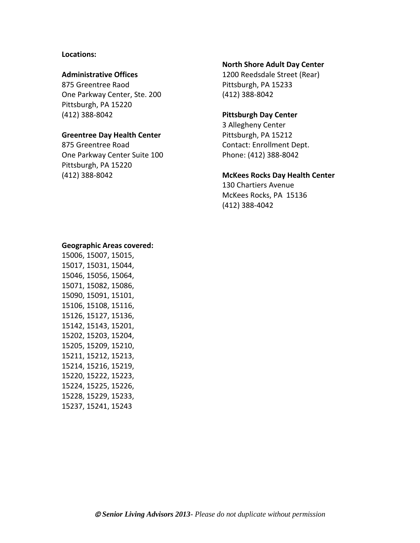#### **Locations:**

#### **Administrative Offices**

875 Greentree Raod One Parkway Center, Ste. 200 Pittsburgh, PA 15220 (412) 388-8042

#### **Greentree Day Health Center**

875 Greentree Road One Parkway Center Suite 100 Pittsburgh, PA 15220 (412) 388-8042

#### **North Shore Adult Day Center**

1200 Reedsdale Street (Rear) Pittsburgh, PA 15233 (412) 388-8042

#### **Pittsburgh Day Center**

3 Allegheny Center Pittsburgh, PA 15212 Contact: Enrollment Dept. Phone: (412) 388-8042

#### **McKees Rocks Day Health Center**

130 Chartiers Avenue McKees Rocks, PA 15136 (412) 388-4042

#### **Geographic Areas covered:**

15006, 15007, 15015, 15017, 15031, 15044, 15046, 15056, 15064, 15071, 15082, 15086, 15090, 15091, 15101, 15106, 15108, 15116, 15126, 15127, 15136, 15142, 15143, 15201, 15202, 15203, 15204, 15205, 15209, 15210, 15211, 15212, 15213, 15214, 15216, 15219, 15220, 15222, 15223, 15224, 15225, 15226, 15228, 15229, 15233, 15237, 15241, 15243